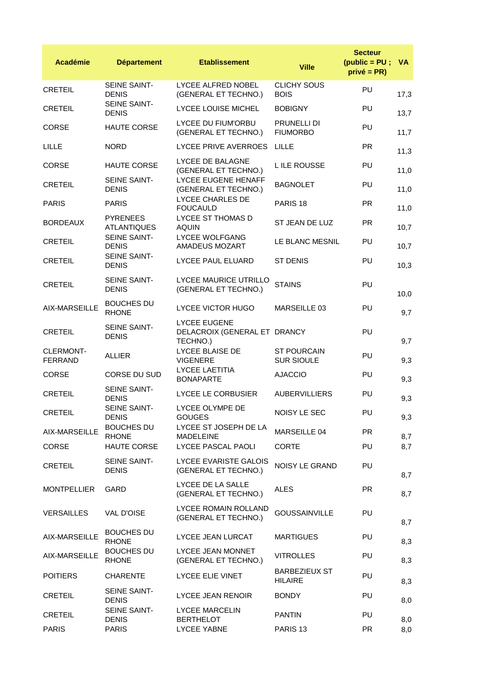| <b>Académie</b>                    | <b>Département</b>                    | <b>Etablissement</b>                                            | <b>Ville</b>                            | <b>Secteur</b><br>$(public = PU;$<br>$privé = PR)$ | <b>VA</b> |
|------------------------------------|---------------------------------------|-----------------------------------------------------------------|-----------------------------------------|----------------------------------------------------|-----------|
| <b>CRETEIL</b>                     | SEINE SAINT-<br><b>DENIS</b>          | LYCEE ALFRED NOBEL<br>(GENERAL ET TECHNO.)                      | <b>CLICHY SOUS</b><br><b>BOIS</b>       | PU                                                 | 17,3      |
| <b>CRETEIL</b>                     | SEINE SAINT-<br><b>DENIS</b>          | <b>LYCEE LOUISE MICHEL</b>                                      | <b>BOBIGNY</b>                          | PU                                                 | 13,7      |
| <b>CORSE</b>                       | <b>HAUTE CORSE</b>                    | <b>LYCEE DU FIUM'ORBU</b><br>(GENERAL ET TECHNO.)               | <b>PRUNELLI DI</b><br><b>FIUMORBO</b>   | PU                                                 | 11,7      |
| LILLE                              | <b>NORD</b>                           | LYCEE PRIVE AVERROES                                            | LILLE                                   | <b>PR</b>                                          | 11,3      |
| CORSE                              | <b>HAUTE CORSE</b>                    | LYCEE DE BALAGNE<br>(GENERAL ET TECHNO.)                        | L ILE ROUSSE                            | <b>PU</b>                                          | 11,0      |
| <b>CRETEIL</b>                     | SEINE SAINT-<br><b>DENIS</b>          | LYCEE EUGENE HENAFF<br>(GENERAL ET TECHNO.)                     | <b>BAGNOLET</b>                         | PU                                                 | 11,0      |
| <b>PARIS</b>                       | <b>PARIS</b>                          | LYCEE CHARLES DE<br><b>FOUCAULD</b>                             | PARIS <sub>18</sub>                     | <b>PR</b>                                          | 11,0      |
| <b>BORDEAUX</b>                    | <b>PYRENEES</b><br><b>ATLANTIQUES</b> | LYCEE ST THOMAS D<br><b>AQUIN</b>                               | ST JEAN DE LUZ                          | <b>PR</b>                                          | 10,7      |
| <b>CRETEIL</b>                     | SEINE SAINT-<br><b>DENIS</b>          | <b>LYCEE WOLFGANG</b><br>AMADEUS MOZART                         | LE BLANC MESNIL                         | PU                                                 | 10,7      |
| <b>CRETEIL</b>                     | SEINE SAINT-<br><b>DENIS</b>          | LYCEE PAUL ELUARD                                               | <b>ST DENIS</b>                         | PU                                                 | 10,3      |
| <b>CRETEIL</b>                     | SEINE SAINT-<br><b>DENIS</b>          | LYCEE MAURICE UTRILLO<br>(GENERAL ET TECHNO.)                   | <b>STAINS</b>                           | PU                                                 | 10,0      |
| AIX-MARSEILLE                      | <b>BOUCHES DU</b><br><b>RHONE</b>     | <b>LYCEE VICTOR HUGO</b>                                        | MARSEILLE 03                            | PU                                                 | 9,7       |
| <b>CRETEIL</b>                     | SEINE SAINT-<br><b>DENIS</b>          | <b>LYCEE EUGENE</b><br>DELACROIX (GENERAL ET DRANCY<br>TECHNO.) |                                         | PU                                                 | 9,7       |
| <b>CLERMONT-</b><br><b>FERRAND</b> | <b>ALLIER</b>                         | LYCEE BLAISE DE<br><b>VIGENERE</b>                              | <b>ST POURCAIN</b><br><b>SUR SIOULE</b> | PU                                                 | 9,3       |
| <b>CORSE</b>                       | CORSE DU SUD                          | <b>LYCEE LAETITIA</b><br><b>BONAPARTE</b>                       | <b>AJACCIO</b>                          | PU                                                 | 9,3       |
| <b>CRETEIL</b>                     | SEINE SAINT-<br><b>DENIS</b>          | LYCEE LE CORBUSIER                                              | <b>AUBERVILLIERS</b>                    | PU                                                 | 9,3       |
| <b>CRETEIL</b>                     | SEINE SAINT-<br><b>DENIS</b>          | LYCEE OLYMPE DE<br><b>GOUGES</b>                                | NOISY LE SEC                            | PU                                                 | 9,3       |
| AIX-MARSEILLE                      | <b>BOUCHES DU</b><br><b>RHONE</b>     | LYCEE ST JOSEPH DE LA<br><b>MADELEINE</b>                       | MARSEILLE 04                            | <b>PR</b>                                          | 8,7       |
| <b>CORSE</b>                       | <b>HAUTE CORSE</b>                    | <b>LYCEE PASCAL PAOLI</b>                                       | <b>CORTE</b>                            | <b>PU</b>                                          | 8,7       |
| <b>CRETEIL</b>                     | <b>SEINE SAINT-</b><br><b>DENIS</b>   | LYCEE EVARISTE GALOIS<br>(GENERAL ET TECHNO.)                   | <b>NOISY LE GRAND</b>                   | <b>PU</b>                                          | 8,7       |
| <b>MONTPELLIER</b>                 | GARD                                  | LYCEE DE LA SALLE<br>(GENERAL ET TECHNO.)                       | <b>ALES</b>                             | <b>PR</b>                                          | 8,7       |
| <b>VERSAILLES</b>                  | <b>VAL D'OISE</b>                     | LYCEE ROMAIN ROLLAND<br>(GENERAL ET TECHNO.)                    | <b>GOUSSAINVILLE</b>                    | PU                                                 | 8,7       |
| AIX-MARSEILLE                      | <b>BOUCHES DU</b><br><b>RHONE</b>     | LYCEE JEAN LURCAT                                               | <b>MARTIGUES</b>                        | PU                                                 | 8,3       |
| AIX-MARSEILLE                      | <b>BOUCHES DU</b><br><b>RHONE</b>     | LYCEE JEAN MONNET<br>(GENERAL ET TECHNO.)                       | <b>VITROLLES</b>                        | PU                                                 | 8,3       |
| <b>POITIERS</b>                    | <b>CHARENTE</b>                       | <b>LYCEE ELIE VINET</b>                                         | <b>BARBEZIEUX ST</b><br><b>HILAIRE</b>  | PU                                                 | 8,3       |
| <b>CRETEIL</b>                     | SEINE SAINT-<br><b>DENIS</b>          | LYCEE JEAN RENOIR                                               | <b>BONDY</b>                            | PU                                                 | 8,0       |
| <b>CRETEIL</b>                     | <b>SEINE SAINT-</b><br><b>DENIS</b>   | LYCEE MARCELIN<br><b>BERTHELOT</b>                              | <b>PANTIN</b>                           | <b>PU</b>                                          | 8,0       |
| <b>PARIS</b>                       | <b>PARIS</b>                          | <b>LYCEE YABNE</b>                                              | PARIS <sub>13</sub>                     | <b>PR</b>                                          | 8,0       |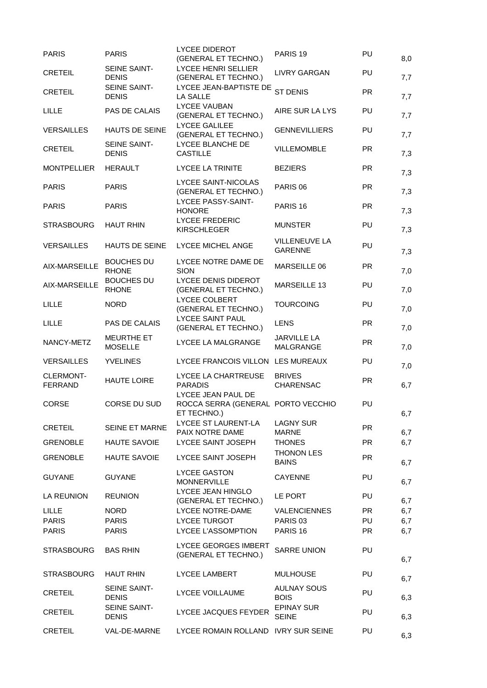| <b>PARIS</b>                       | <b>PARIS</b>                        | <b>LYCEE DIDEROT</b><br>(GENERAL ET TECHNO.)                            | PARIS <sub>19</sub>                    | PU        | 8,0 |
|------------------------------------|-------------------------------------|-------------------------------------------------------------------------|----------------------------------------|-----------|-----|
| <b>CRETEIL</b>                     | SEINE SAINT-<br><b>DENIS</b>        | LYCEE HENRI SELLIER<br>(GENERAL ET TECHNO.)                             | <b>LIVRY GARGAN</b>                    | PU        | 7,7 |
| <b>CRETEIL</b>                     | SEINE SAINT-<br><b>DENIS</b>        | LYCEE JEAN-BAPTISTE DE<br>LA SALLE                                      | <b>ST DENIS</b>                        | <b>PR</b> | 7,7 |
| LILLE                              | PAS DE CALAIS                       | <b>LYCEE VAUBAN</b><br>(GENERAL ET TECHNO.)                             | AIRE SUR LA LYS                        | PU        | 7,7 |
| <b>VERSAILLES</b>                  | <b>HAUTS DE SEINE</b>               | <b>LYCEE GALILEE</b><br>(GENERAL ET TECHNO.)                            | <b>GENNEVILLIERS</b>                   | PU        | 7,7 |
| <b>CRETEIL</b>                     | <b>SEINE SAINT-</b><br><b>DENIS</b> | LYCEE BLANCHE DE<br><b>CASTILLE</b>                                     | <b>VILLEMOMBLE</b>                     | <b>PR</b> | 7,3 |
| <b>MONTPELLIER</b>                 | <b>HERAULT</b>                      | <b>LYCEE LA TRINITE</b>                                                 | <b>BEZIERS</b>                         | <b>PR</b> | 7,3 |
| <b>PARIS</b>                       | <b>PARIS</b>                        | LYCEE SAINT-NICOLAS<br>(GENERAL ET TECHNO.)                             | PARIS <sub>06</sub>                    | <b>PR</b> | 7,3 |
| <b>PARIS</b>                       | <b>PARIS</b>                        | LYCEE PASSY-SAINT-<br><b>HONORE</b>                                     | PARIS <sub>16</sub>                    | <b>PR</b> | 7,3 |
| <b>STRASBOURG</b>                  | <b>HAUT RHIN</b>                    | <b>LYCEE FREDERIC</b><br><b>KIRSCHLEGER</b>                             | <b>MUNSTER</b>                         | PU        | 7,3 |
| <b>VERSAILLES</b>                  | <b>HAUTS DE SEINE</b>               | LYCEE MICHEL ANGE                                                       | <b>VILLENEUVE LA</b><br><b>GARENNE</b> | PU        | 7,3 |
| AIX-MARSEILLE                      | <b>BOUCHES DU</b><br><b>RHONE</b>   | LYCEE NOTRE DAME DE<br><b>SION</b>                                      | MARSEILLE 06                           | <b>PR</b> | 7,0 |
| AIX-MARSEILLE                      | <b>BOUCHES DU</b><br><b>RHONE</b>   | LYCEE DENIS DIDEROT<br>(GENERAL ET TECHNO.)                             | MARSEILLE 13                           | PU        | 7,0 |
| <b>LILLE</b>                       | <b>NORD</b>                         | LYCEE COLBERT<br>(GENERAL ET TECHNO.)                                   | <b>TOURCOING</b>                       | PU        | 7,0 |
| <b>LILLE</b>                       | PAS DE CALAIS                       | <b>LYCEE SAINT PAUL</b><br>(GENERAL ET TECHNO.)                         | <b>LENS</b>                            | <b>PR</b> | 7,0 |
| NANCY-METZ                         | <b>MEURTHE ET</b><br><b>MOSELLE</b> | LYCEE LA MALGRANGE                                                      | <b>JARVILLE LA</b><br>MALGRANGE        | <b>PR</b> | 7,0 |
| <b>VERSAILLES</b>                  | <b>YVELINES</b>                     | LYCEE FRANCOIS VILLON LES MUREAUX                                       |                                        | PU        | 7,0 |
| <b>CLERMONT-</b><br><b>FERRAND</b> | <b>HAUTE LOIRE</b>                  | LYCEE LA CHARTREUSE<br><b>PARADIS</b>                                   | <b>BRIVES</b><br>CHARENSAC             | <b>PR</b> | 6,7 |
| <b>CORSE</b>                       | CORSE DU SUD                        | LYCEE JEAN PAUL DE<br>ROCCA SERRA (GENERAL PORTO VECCHIO<br>ET TECHNO.) |                                        | PU        | 6,7 |
| <b>CRETEIL</b>                     | SEINE ET MARNE                      | LYCEE ST LAURENT-LA<br>PAIX NOTRE DAME                                  | <b>LAGNY SUR</b><br><b>MARNE</b>       | <b>PR</b> | 6,7 |
| <b>GRENOBLE</b>                    | <b>HAUTE SAVOIE</b>                 | <b>LYCEE SAINT JOSEPH</b>                                               | <b>THONES</b>                          | <b>PR</b> | 6,7 |
| <b>GRENOBLE</b>                    | <b>HAUTE SAVOIE</b>                 | LYCEE SAINT JOSEPH                                                      | <b>THONON LES</b><br><b>BAINS</b>      | <b>PR</b> | 6,7 |
| <b>GUYANE</b>                      | <b>GUYANE</b>                       | LYCEE GASTON<br><b>MONNERVILLE</b>                                      | <b>CAYENNE</b>                         | PU        | 6,7 |
| <b>LA REUNION</b>                  | <b>REUNION</b>                      | LYCEE JEAN HINGLO<br>(GENERAL ET TECHNO.)                               | LE PORT                                | PU        | 6,7 |
| <b>LILLE</b>                       | <b>NORD</b>                         | LYCEE NOTRE-DAME                                                        | <b>VALENCIENNES</b>                    | <b>PR</b> | 6,7 |
| <b>PARIS</b>                       | <b>PARIS</b>                        | <b>LYCEE TURGOT</b>                                                     | PARIS <sub>03</sub>                    | PU        | 6,7 |
| <b>PARIS</b>                       | <b>PARIS</b>                        | <b>LYCEE L'ASSOMPTION</b>                                               | PARIS <sub>16</sub>                    | <b>PR</b> | 6,7 |
| <b>STRASBOURG</b>                  | <b>BAS RHIN</b>                     | <b>LYCEE GEORGES IMBERT</b><br>(GENERAL ET TECHNO.)                     | <b>SARRE UNION</b>                     | PU        | 6,7 |
| <b>STRASBOURG</b>                  | <b>HAUT RHIN</b>                    | <b>LYCEE LAMBERT</b>                                                    | <b>MULHOUSE</b>                        | PU        | 6,7 |
| <b>CRETEIL</b>                     | <b>SEINE SAINT-</b><br><b>DENIS</b> | LYCEE VOILLAUME                                                         | <b>AULNAY SOUS</b><br><b>BOIS</b>      | PU        | 6,3 |
| <b>CRETEIL</b>                     | SEINE SAINT-<br><b>DENIS</b>        | LYCEE JACQUES FEYDER                                                    | <b>EPINAY SUR</b><br><b>SEINE</b>      | PU        | 6,3 |
| <b>CRETEIL</b>                     | VAL-DE-MARNE                        | LYCEE ROMAIN ROLLAND IVRY SUR SEINE                                     |                                        | <b>PU</b> | 6,3 |
|                                    |                                     |                                                                         |                                        |           |     |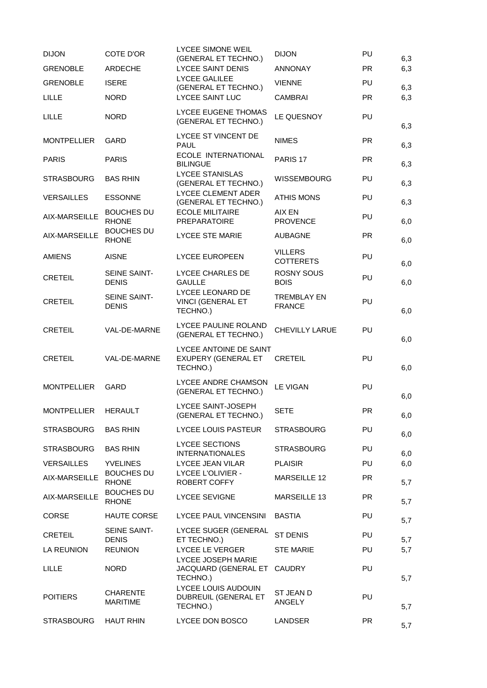| <b>DIJON</b>       | COTE D'OR                           | LYCEE SIMONE WEIL<br>(GENERAL ET TECHNO.)                 | <b>DIJON</b>                        | PU        | 6,3 |
|--------------------|-------------------------------------|-----------------------------------------------------------|-------------------------------------|-----------|-----|
| <b>GRENOBLE</b>    | ARDECHE                             | <b>LYCEE SAINT DENIS</b>                                  | <b>ANNONAY</b>                      | <b>PR</b> | 6,3 |
| <b>GRENOBLE</b>    | <b>ISERE</b>                        | <b>LYCEE GALILEE</b><br>(GENERAL ET TECHNO.)              | <b>VIENNE</b>                       | PU        | 6,3 |
| <b>LILLE</b>       | <b>NORD</b>                         | <b>LYCEE SAINT LUC</b>                                    | <b>CAMBRAI</b>                      | <b>PR</b> | 6,3 |
| <b>LILLE</b>       | <b>NORD</b>                         | LYCEE EUGENE THOMAS<br>(GENERAL ET TECHNO.)               | LE QUESNOY                          | <b>PU</b> | 6,3 |
| <b>MONTPELLIER</b> | <b>GARD</b>                         | LYCEE ST VINCENT DE<br><b>PAUL</b>                        | <b>NIMES</b>                        | <b>PR</b> | 6,3 |
| <b>PARIS</b>       | <b>PARIS</b>                        | ECOLE INTERNATIONAL<br><b>BILINGUE</b>                    | PARIS <sub>17</sub>                 | <b>PR</b> | 6,3 |
| <b>STRASBOURG</b>  | <b>BAS RHIN</b>                     | <b>LYCEE STANISLAS</b><br>(GENERAL ET TECHNO.)            | <b>WISSEMBOURG</b>                  | PU        | 6,3 |
| <b>VERSAILLES</b>  | <b>ESSONNE</b>                      | LYCEE CLEMENT ADER<br>(GENERAL ET TECHNO.)                | <b>ATHIS MONS</b>                   | <b>PU</b> | 6,3 |
| AIX-MARSEILLE      | <b>BOUCHES DU</b><br><b>RHONE</b>   | <b>ECOLE MILITAIRE</b><br><b>PREPARATOIRE</b>             | AIX EN<br><b>PROVENCE</b>           | PU        | 6,0 |
| AIX-MARSEILLE      | <b>BOUCHES DU</b><br><b>RHONE</b>   | <b>LYCEE STE MARIE</b>                                    | <b>AUBAGNE</b>                      | <b>PR</b> | 6,0 |
| <b>AMIENS</b>      | <b>AISNE</b>                        | <b>LYCEE EUROPEEN</b>                                     | <b>VILLERS</b><br><b>COTTERETS</b>  | PU        | 6,0 |
| <b>CRETEIL</b>     | <b>SEINE SAINT-</b><br><b>DENIS</b> | LYCEE CHARLES DE<br><b>GAULLE</b>                         | <b>ROSNY SOUS</b><br><b>BOIS</b>    | <b>PU</b> | 6,0 |
| <b>CRETEIL</b>     | SEINE SAINT-<br><b>DENIS</b>        | LYCEE LEONARD DE<br>VINCI (GENERAL ET<br>TECHNO.)         | <b>TREMBLAY EN</b><br><b>FRANCE</b> | PU        | 6,0 |
| <b>CRETEIL</b>     | VAL-DE-MARNE                        | LYCEE PAULINE ROLAND<br>(GENERAL ET TECHNO.)              | <b>CHEVILLY LARUE</b>               | PU        | 6,0 |
| <b>CRETEIL</b>     | VAL-DE-MARNE                        | LYCEE ANTOINE DE SAINT<br>EXUPERY (GENERAL ET<br>TECHNO.) | <b>CRETEIL</b>                      | PU        | 6,0 |
| <b>MONTPELLIER</b> | GARD                                | LYCEE ANDRE CHAMSON<br>(GENERAL ET TECHNO.)               | <b>LE VIGAN</b>                     | PU        | 6,0 |
| <b>MONTPELLIER</b> | <b>HERAULT</b>                      | LYCEE SAINT-JOSEPH<br>(GENERAL ET TECHNO.)                | <b>SETE</b>                         | <b>PR</b> | 6,0 |
| <b>STRASBOURG</b>  | <b>BAS RHIN</b>                     | LYCEE LOUIS PASTEUR                                       | <b>STRASBOURG</b>                   | PU        | 6,0 |
| <b>STRASBOURG</b>  | <b>BAS RHIN</b>                     | <b>LYCEE SECTIONS</b><br><b>INTERNATIONALES</b>           | <b>STRASBOURG</b>                   | PU        | 6,0 |
| <b>VERSAILLES</b>  | <b>YVELINES</b>                     | LYCEE JEAN VILAR                                          | <b>PLAISIR</b>                      | <b>PU</b> | 6,0 |
| AIX-MARSEILLE      | <b>BOUCHES DU</b><br><b>RHONE</b>   | <b>LYCEE L'OLIVIER -</b><br>ROBERT COFFY                  | MARSEILLE 12                        | <b>PR</b> | 5,7 |
| AIX-MARSEILLE      | <b>BOUCHES DU</b><br><b>RHONE</b>   | <b>LYCEE SEVIGNE</b>                                      | MARSEILLE 13                        | <b>PR</b> | 5,7 |
| <b>CORSE</b>       | <b>HAUTE CORSE</b>                  | LYCEE PAUL VINCENSINI                                     | <b>BASTIA</b>                       | PU        | 5,7 |
| <b>CRETEIL</b>     | <b>SEINE SAINT-</b><br><b>DENIS</b> | LYCEE SUGER (GENERAL<br>ET TECHNO.)                       | ST DENIS                            | PU        | 5,7 |
| LA REUNION         | <b>REUNION</b>                      | LYCEE LE VERGER                                           | <b>STE MARIE</b>                    | PU        | 5,7 |
| <b>LILLE</b>       | <b>NORD</b>                         | LYCEE JOSEPH MARIE<br>JACQUARD (GENERAL ET<br>TECHNO.)    | <b>CAUDRY</b>                       | PU        | 5,7 |
| <b>POITIERS</b>    | <b>CHARENTE</b><br><b>MARITIME</b>  | LYCEE LOUIS AUDOUIN<br>DUBREUIL (GENERAL ET<br>TECHNO.)   | ST JEAN D<br>ANGELY                 | <b>PU</b> | 5,7 |
| <b>STRASBOURG</b>  | <b>HAUT RHIN</b>                    | LYCEE DON BOSCO                                           | <b>LANDSER</b>                      | <b>PR</b> | 5,7 |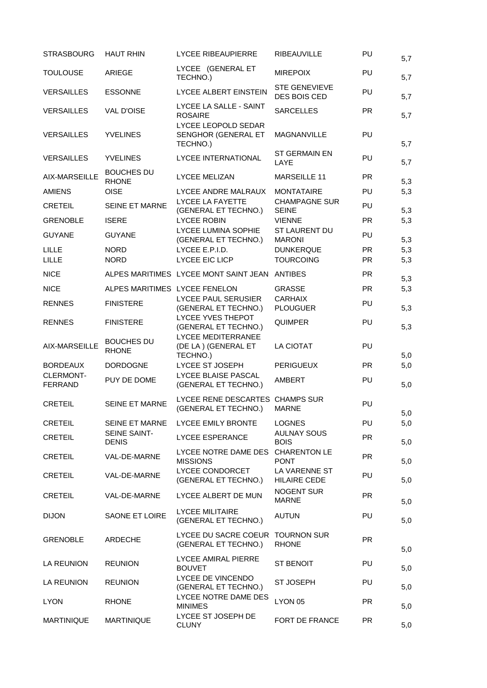| <b>STRASBOURG</b>           | <b>HAUT RHIN</b>                    | <b>LYCEE RIBEAUPIERRE</b>                               | <b>RIBEAUVILLE</b>                   | PU        | 5,7 |
|-----------------------------|-------------------------------------|---------------------------------------------------------|--------------------------------------|-----------|-----|
| <b>TOULOUSE</b>             | <b>ARIEGE</b>                       | LYCEE (GENERAL ET<br>TECHNO.)                           | <b>MIREPOIX</b>                      | PU        | 5,7 |
| <b>VERSAILLES</b>           | <b>ESSONNE</b>                      | LYCEE ALBERT EINSTEIN                                   | <b>STE GENEVIEVE</b><br>DES BOIS CED | PU        | 5,7 |
| <b>VERSAILLES</b>           | <b>VAL D'OISE</b>                   | LYCEE LA SALLE - SAINT<br><b>ROSAIRE</b>                | <b>SARCELLES</b>                     | <b>PR</b> | 5,7 |
| <b>VERSAILLES</b>           | <b>YVELINES</b>                     | LYCEE LEOPOLD SEDAR<br>SENGHOR (GENERAL ET<br>TECHNO.)  | <b>MAGNANVILLE</b>                   | PU        | 5,7 |
| <b>VERSAILLES</b>           | <b>YVELINES</b>                     | LYCEE INTERNATIONAL                                     | <b>ST GERMAIN EN</b><br>LAYE         | PU        | 5,7 |
| AIX-MARSEILLE               | <b>BOUCHES DU</b><br><b>RHONE</b>   | <b>LYCEE MELIZAN</b>                                    | <b>MARSEILLE 11</b>                  | <b>PR</b> | 5,3 |
| <b>AMIENS</b>               | <b>OISE</b>                         | LYCEE ANDRE MALRAUX                                     | <b>MONTATAIRE</b>                    | PU        | 5,3 |
| <b>CRETEIL</b>              | SEINE ET MARNE                      | LYCEE LA FAYETTE<br>(GENERAL ET TECHNO.)                | <b>CHAMPAGNE SUR</b><br><b>SEINE</b> | PU        | 5,3 |
| <b>GRENOBLE</b>             | <b>ISERE</b>                        | <b>LYCEE ROBIN</b>                                      | <b>VIENNE</b>                        | <b>PR</b> | 5,3 |
| <b>GUYANE</b>               | <b>GUYANE</b>                       | LYCEE LUMINA SOPHIE<br>(GENERAL ET TECHNO.)             | ST LAURENT DU<br><b>MARONI</b>       | PU        | 5,3 |
| <b>LILLE</b>                | <b>NORD</b>                         | LYCEE E.P.I.D.                                          | <b>DUNKERQUE</b>                     | <b>PR</b> | 5,3 |
| LILLE                       | <b>NORD</b>                         | LYCEE EIC LICP                                          | <b>TOURCOING</b>                     | <b>PR</b> | 5,3 |
| <b>NICE</b>                 |                                     | ALPES MARITIMES LYCEE MONT SAINT JEAN                   | <b>ANTIBES</b>                       | <b>PR</b> | 5,3 |
| <b>NICE</b>                 | ALPES MARITIMES LYCEE FENELON       |                                                         | <b>GRASSE</b>                        | <b>PR</b> | 5,3 |
| <b>RENNES</b>               | <b>FINISTERE</b>                    | <b>LYCEE PAUL SERUSIER</b><br>(GENERAL ET TECHNO.)      | <b>CARHAIX</b><br><b>PLOUGUER</b>    | PU        | 5,3 |
| <b>RENNES</b>               | <b>FINISTERE</b>                    | LYCEE YVES THEPOT<br>(GENERAL ET TECHNO.)               | <b>QUIMPER</b>                       | PU        | 5,3 |
| AIX-MARSEILLE               | <b>BOUCHES DU</b><br><b>RHONE</b>   | LYCEE MEDITERRANEE<br>(DE LA) (GENERAL ET<br>TECHNO.)   | LA CIOTAT                            | PU        | 5,0 |
| <b>BORDEAUX</b>             | <b>DORDOGNE</b>                     | LYCEE ST JOSEPH                                         | <b>PERIGUEUX</b>                     | <b>PR</b> | 5,0 |
| CLERMONT-<br><b>FERRAND</b> | PUY DE DOME                         | LYCEE BLAISE PASCAL<br>(GENERAL ET TECHNO.)             | AMBERT                               | PU        | 5,0 |
| <b>CRETEIL</b>              | SEINE ET MARNE                      | LYCEE RENE DESCARTES CHAMPS SUR<br>(GENERAL ET TECHNO.) | <b>MARNE</b>                         | PU        | 5,0 |
| <b>CRETEIL</b>              | SEINE ET MARNE                      | <b>LYCEE EMILY BRONTE</b>                               | <b>LOGNES</b>                        | PU        | 5,0 |
| <b>CRETEIL</b>              | <b>SEINE SAINT-</b><br><b>DENIS</b> | <b>LYCEE ESPERANCE</b>                                  | <b>AULNAY SOUS</b><br><b>BOIS</b>    | <b>PR</b> | 5,0 |
| <b>CRETEIL</b>              | VAL-DE-MARNE                        | LYCEE NOTRE DAME DES<br><b>MISSIONS</b>                 | <b>CHARENTON LE</b><br><b>PONT</b>   | <b>PR</b> | 5,0 |
| <b>CRETEIL</b>              | VAL-DE-MARNE                        | <b>LYCEE CONDORCET</b><br>(GENERAL ET TECHNO.)          | LA VARENNE ST<br><b>HILAIRE CEDE</b> | PU        | 5,0 |
| <b>CRETEIL</b>              | VAL-DE-MARNE                        | LYCEE ALBERT DE MUN                                     | <b>NOGENT SUR</b><br><b>MARNE</b>    | <b>PR</b> | 5,0 |
| <b>DIJON</b>                | SAONE ET LOIRE                      | <b>LYCEE MILITAIRE</b><br>(GENERAL ET TECHNO.)          | <b>AUTUN</b>                         | <b>PU</b> | 5,0 |
| <b>GRENOBLE</b>             | ARDECHE                             | LYCEE DU SACRE COEUR<br>(GENERAL ET TECHNO.)            | <b>TOURNON SUR</b><br><b>RHONE</b>   | <b>PR</b> | 5,0 |
| LA REUNION                  | <b>REUNION</b>                      | <b>LYCEE AMIRAL PIERRE</b><br><b>BOUVET</b>             | <b>ST BENOIT</b>                     | <b>PU</b> | 5,0 |
| <b>LA REUNION</b>           | <b>REUNION</b>                      | LYCEE DE VINCENDO<br>(GENERAL ET TECHNO.)               | <b>ST JOSEPH</b>                     | <b>PU</b> | 5,0 |
| <b>LYON</b>                 | <b>RHONE</b>                        | LYCEE NOTRE DAME DES<br><b>MINIMES</b>                  | LYON 05                              | <b>PR</b> | 5,0 |
| <b>MARTINIQUE</b>           | <b>MARTINIQUE</b>                   | LYCEE ST JOSEPH DE<br><b>CLUNY</b>                      | FORT DE FRANCE                       | <b>PR</b> | 5,0 |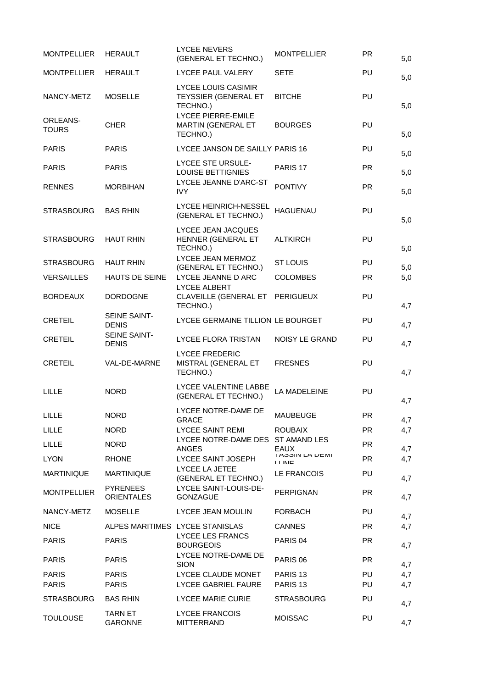| <b>MONTPELLIER</b>              | <b>HERAULT</b>                       | <b>LYCEE NEVERS</b><br>(GENERAL ET TECHNO.)                           | <b>MONTPELLIER</b>                        | <b>PR</b> | 5,0 |
|---------------------------------|--------------------------------------|-----------------------------------------------------------------------|-------------------------------------------|-----------|-----|
| <b>MONTPELLIER</b>              | <b>HERAULT</b>                       | LYCEE PAUL VALERY                                                     | <b>SETE</b>                               | <b>PU</b> | 5,0 |
| NANCY-METZ                      | <b>MOSELLE</b>                       | <b>LYCEE LOUIS CASIMIR</b><br><b>TEYSSIER (GENERAL ET</b><br>TECHNO.) | <b>BITCHE</b>                             | PU        | 5,0 |
| <b>ORLEANS-</b><br><b>TOURS</b> | <b>CHER</b>                          | LYCEE PIERRE-EMILE<br>MARTIN (GENERAL ET<br>TECHNO.)                  | <b>BOURGES</b>                            | PU        | 5,0 |
| <b>PARIS</b>                    | <b>PARIS</b>                         | LYCEE JANSON DE SAILLY PARIS 16                                       |                                           | PU        | 5,0 |
| <b>PARIS</b>                    | <b>PARIS</b>                         | <b>LYCEE STE URSULE-</b><br><b>LOUISE BETTIGNIES</b>                  | PARIS <sub>17</sub>                       | <b>PR</b> | 5,0 |
| <b>RENNES</b>                   | <b>MORBIHAN</b>                      | LYCEE JEANNE D'ARC-ST<br><b>IVY</b>                                   | <b>PONTIVY</b>                            | <b>PR</b> | 5,0 |
| <b>STRASBOURG</b>               | <b>BAS RHIN</b>                      | LYCEE HEINRICH-NESSEL<br>(GENERAL ET TECHNO.)                         | <b>HAGUENAU</b>                           | PU        | 5,0 |
| <b>STRASBOURG</b>               | <b>HAUT RHIN</b>                     | LYCEE JEAN JACQUES<br>HENNER (GENERAL ET<br>TECHNO.)                  | <b>ALTKIRCH</b>                           | PU        | 5,0 |
| <b>STRASBOURG</b>               | <b>HAUT RHIN</b>                     | LYCEE JEAN MERMOZ<br>(GENERAL ET TECHNO.)                             | <b>ST LOUIS</b>                           | <b>PU</b> | 5,0 |
| <b>VERSAILLES</b>               | <b>HAUTS DE SEINE</b>                | LYCEE JEANNE D ARC                                                    | <b>COLOMBES</b>                           | <b>PR</b> | 5,0 |
| <b>BORDEAUX</b>                 | <b>DORDOGNE</b>                      | LYCEE ALBERT<br>CLAVEILLE (GENERAL ET PERIGUEUX<br>TECHNO.)           |                                           | PU        | 4,7 |
| <b>CRETEIL</b>                  | SEINE SAINT-<br><b>DENIS</b>         | LYCEE GERMAINE TILLION LE BOURGET                                     |                                           | PU        | 4,7 |
| <b>CRETEIL</b>                  | SEINE SAINT-<br><b>DENIS</b>         | <b>LYCEE FLORA TRISTAN</b>                                            | NOISY LE GRAND                            | PU        | 4,7 |
| <b>CRETEIL</b>                  | VAL-DE-MARNE                         | <b>LYCEE FREDERIC</b><br>MISTRAL (GENERAL ET<br>TECHNO.)              | <b>FRESNES</b>                            | PU        | 4,7 |
| LILLE                           | <b>NORD</b>                          | LYCEE VALENTINE LABBE<br>(GENERAL ET TECHNO.)                         | LA MADELEINE                              | PU        | 4,7 |
| LILLE                           | <b>NORD</b>                          | LYCEE NOTRE-DAME DE<br><b>GRACE</b>                                   | MAUBEUGE                                  | PR.       | 4,7 |
| <b>LILLE</b>                    | <b>NORD</b>                          | <b>LYCEE SAINT REMI</b>                                               | <b>ROUBAIX</b>                            | <b>PR</b> | 4,7 |
| LILLE                           | <b>NORD</b>                          | LYCEE NOTRE-DAME DES<br><b>ANGES</b>                                  | <b>ST AMAND LES</b><br><b>EAUX</b>        | <b>PR</b> | 4,7 |
| <b>LYON</b>                     | <b>RHONE</b>                         | LYCEE SAINT JOSEPH                                                    | <b>I ADOIIN LA DEIVII</b><br><b>I INE</b> | <b>PR</b> | 4,7 |
| <b>MARTINIQUE</b>               | <b>MARTINIQUE</b>                    | LYCEE LA JETEE<br>(GENERAL ET TECHNO.)                                | <b>LE FRANCOIS</b>                        | <b>PU</b> | 4,7 |
| <b>MONTPELLIER</b>              | <b>PYRENEES</b><br><b>ORIENTALES</b> | LYCEE SAINT-LOUIS-DE-<br><b>GONZAGUE</b>                              | <b>PERPIGNAN</b>                          | <b>PR</b> | 4,7 |
| NANCY-METZ                      | <b>MOSELLE</b>                       | LYCEE JEAN MOULIN                                                     | <b>FORBACH</b>                            | <b>PU</b> | 4,7 |
| <b>NICE</b>                     | ALPES MARITIMES LYCEE STANISLAS      |                                                                       | <b>CANNES</b>                             | <b>PR</b> | 4,7 |
| <b>PARIS</b>                    | <b>PARIS</b>                         | LYCEE LES FRANCS<br><b>BOURGEOIS</b>                                  | PARIS <sub>04</sub>                       | <b>PR</b> | 4,7 |
| <b>PARIS</b>                    | <b>PARIS</b>                         | LYCEE NOTRE-DAME DE<br><b>SION</b>                                    | PARIS <sub>06</sub>                       | <b>PR</b> | 4,7 |
| <b>PARIS</b>                    | <b>PARIS</b>                         | LYCEE CLAUDE MONET                                                    | PARIS <sub>13</sub>                       | <b>PU</b> | 4,7 |
| <b>PARIS</b>                    | <b>PARIS</b>                         | <b>LYCEE GABRIEL FAURE</b>                                            | PARIS <sub>13</sub>                       | <b>PU</b> | 4,7 |
| <b>STRASBOURG</b>               | <b>BAS RHIN</b>                      | <b>LYCEE MARIE CURIE</b>                                              | <b>STRASBOURG</b>                         | <b>PU</b> | 4,7 |
| <b>TOULOUSE</b>                 | <b>TARN ET</b><br><b>GARONNE</b>     | <b>LYCEE FRANCOIS</b><br><b>MITTERRAND</b>                            | <b>MOISSAC</b>                            | <b>PU</b> | 4,7 |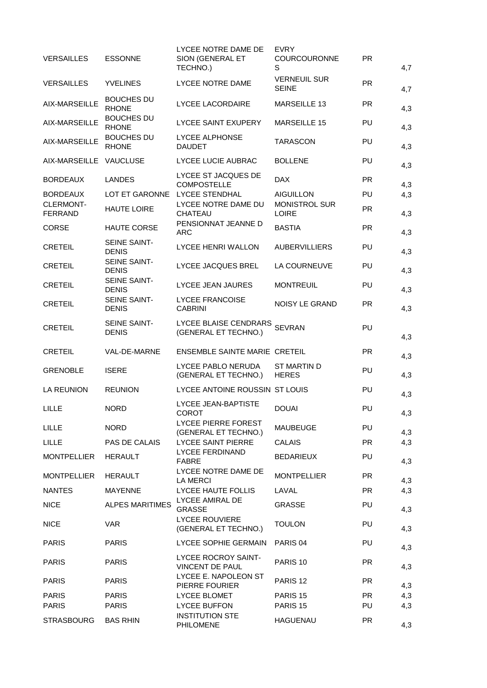| <b>VERSAILLES</b>                  | <b>ESSONNE</b>                    | LYCEE NOTRE DAME DE<br>SION (GENERAL ET<br>TECHNO.) | <b>EVRY</b><br><b>COURCOURONNE</b><br>S | <b>PR</b> | 4,7 |
|------------------------------------|-----------------------------------|-----------------------------------------------------|-----------------------------------------|-----------|-----|
| <b>VERSAILLES</b>                  | <b>YVELINES</b>                   | LYCEE NOTRE DAME                                    | <b>VERNEUIL SUR</b><br><b>SEINE</b>     | <b>PR</b> | 4,7 |
| AIX-MARSEILLE                      | <b>BOUCHES DU</b><br><b>RHONE</b> | LYCEE LACORDAIRE                                    | MARSEILLE 13                            | <b>PR</b> | 4,3 |
| AIX-MARSEILLE                      | <b>BOUCHES DU</b><br><b>RHONE</b> | <b>LYCEE SAINT EXUPERY</b>                          | <b>MARSEILLE 15</b>                     | PU        | 4,3 |
| AIX-MARSEILLE                      | <b>BOUCHES DU</b><br><b>RHONE</b> | LYCEE ALPHONSE<br><b>DAUDET</b>                     | <b>TARASCON</b>                         | PU        | 4,3 |
| AIX-MARSEILLE VAUCLUSE             |                                   | LYCEE LUCIE AUBRAC                                  | <b>BOLLENE</b>                          | PU        | 4,3 |
| <b>BORDEAUX</b>                    | <b>LANDES</b>                     | LYCEE ST JACQUES DE<br><b>COMPOSTELLE</b>           | <b>DAX</b>                              | <b>PR</b> | 4,3 |
| <b>BORDEAUX</b>                    | LOT ET GARONNE                    | <b>LYCEE STENDHAL</b>                               | <b>AIGUILLON</b>                        | PU        | 4,3 |
| <b>CLERMONT-</b><br><b>FERRAND</b> | <b>HAUTE LOIRE</b>                | LYCEE NOTRE DAME DU<br><b>CHATEAU</b>               | <b>MONISTROL SUR</b><br><b>LOIRE</b>    | <b>PR</b> | 4,3 |
| <b>CORSE</b>                       | <b>HAUTE CORSE</b>                | PENSIONNAT JEANNE D<br>ARC                          | <b>BASTIA</b>                           | <b>PR</b> | 4,3 |
| <b>CRETEIL</b>                     | SEINE SAINT-<br><b>DENIS</b>      | LYCEE HENRI WALLON                                  | <b>AUBERVILLIERS</b>                    | PU        | 4,3 |
| <b>CRETEIL</b>                     | SEINE SAINT-<br><b>DENIS</b>      | LYCEE JACQUES BREL                                  | LA COURNEUVE                            | PU        | 4,3 |
| <b>CRETEIL</b>                     | SEINE SAINT-<br><b>DENIS</b>      | <b>LYCEE JEAN JAURES</b>                            | <b>MONTREUIL</b>                        | PU        | 4,3 |
| <b>CRETEIL</b>                     | SEINE SAINT-<br><b>DENIS</b>      | <b>LYCEE FRANCOISE</b><br><b>CABRINI</b>            | NOISY LE GRAND                          | <b>PR</b> | 4,3 |
| <b>CRETEIL</b>                     | SEINE SAINT-<br><b>DENIS</b>      | LYCEE BLAISE CENDRARS<br>(GENERAL ET TECHNO.)       | <b>SEVRAN</b>                           | PU        | 4,3 |
|                                    |                                   |                                                     |                                         |           |     |
| <b>CRETEIL</b>                     | VAL-DE-MARNE                      | ENSEMBLE SAINTE MARIE CRETEIL                       |                                         | <b>PR</b> | 4,3 |
| <b>GRENOBLE</b>                    | <b>ISERE</b>                      | LYCEE PABLO NERUDA<br>(GENERAL ET TECHNO.)          | <b>ST MARTIN D</b><br><b>HERES</b>      | PU        | 4,3 |
| <b>LA REUNION</b>                  | <b>REUNION</b>                    | LYCEE ANTOINE ROUSSIN ST LOUIS                      |                                         | PU        | 4,3 |
| LILLE                              | <b>NORD</b>                       | LYCEE JEAN-BAPTISTE<br>COROT                        | <b>DOUAI</b>                            | PU        | 4,3 |
| <b>LILLE</b>                       | <b>NORD</b>                       | LYCEE PIERRE FOREST<br>(GENERAL ET TECHNO.)         | <b>MAUBEUGE</b>                         | PU        | 4,3 |
| <b>LILLE</b>                       | PAS DE CALAIS                     | <b>LYCEE SAINT PIERRE</b>                           | <b>CALAIS</b>                           | <b>PR</b> | 4,3 |
| <b>MONTPELLIER</b>                 | <b>HERAULT</b>                    | LYCEE FERDINAND<br><b>FABRE</b>                     | <b>BEDARIEUX</b>                        | PU        | 4,3 |
| <b>MONTPELLIER</b>                 | <b>HERAULT</b>                    | LYCEE NOTRE DAME DE<br><b>LA MERCI</b>              | <b>MONTPELLIER</b>                      | <b>PR</b> | 4,3 |
| <b>NANTES</b>                      | <b>MAYENNE</b>                    | LYCEE HAUTE FOLLIS                                  | LAVAL                                   | <b>PR</b> | 4,3 |
| <b>NICE</b>                        | <b>ALPES MARITIMES</b>            | LYCEE AMIRAL DE<br><b>GRASSE</b>                    | <b>GRASSE</b>                           | PU        | 4,3 |
| <b>NICE</b>                        | <b>VAR</b>                        | <b>LYCEE ROUVIERE</b><br>(GENERAL ET TECHNO.)       | <b>TOULON</b>                           | PU        | 4,3 |
| <b>PARIS</b>                       | <b>PARIS</b>                      | LYCEE SOPHIE GERMAIN                                | PARIS <sub>04</sub>                     | PU        | 4,3 |
| <b>PARIS</b>                       | <b>PARIS</b>                      | <b>LYCEE ROCROY SAINT-</b><br>VINCENT DE PAUL       | PARIS <sub>10</sub>                     | <b>PR</b> | 4,3 |
| <b>PARIS</b>                       | <b>PARIS</b>                      | LYCEE E. NAPOLEON ST<br>PIERRE FOURIER              | PARIS <sub>12</sub>                     | <b>PR</b> | 4,3 |
| <b>PARIS</b>                       | <b>PARIS</b>                      | LYCEE BLOMET                                        | PARIS <sub>15</sub>                     | <b>PR</b> | 4,3 |
| <b>PARIS</b>                       | <b>PARIS</b>                      | <b>LYCEE BUFFON</b><br><b>INSTITUTION STE</b>       | PARIS <sub>15</sub>                     | PU        | 4,3 |